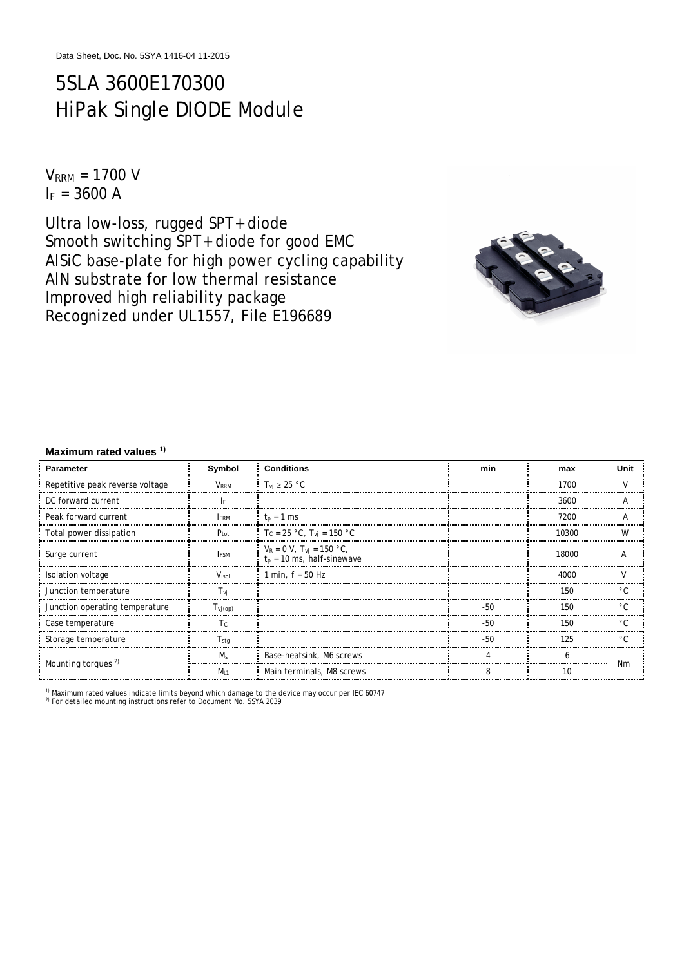# 5SLA 3600E170300 HiPak Single DIODE Module

 $V<sub>RRM</sub> = 1700 V$  $I_F = 3600 A$ 

Ultra low-loss, rugged SPT+ diode Smooth switching SPT+ diode for good EMC AlSiC base-plate for high power cycling capability AlN substrate for low thermal resistance Improved high reliability package Recognized under UL1557, File E196689



#### **Maximum rated values 1)**

| <b>Parameter</b>                | Symbol            | <b>Conditions</b>                                                 | min   | max   | Unit         |  |
|---------------------------------|-------------------|-------------------------------------------------------------------|-------|-------|--------------|--|
| Repetitive peak reverse voltage | <b>VRRM</b>       | $T_{\rm vi} \geq 25$ °C                                           |       | 1700  | V            |  |
| DC forward current              | I۴                |                                                                   |       | 3600  | A            |  |
| Peak forward current            | <b>FRM</b>        | $t_p = 1$ ms                                                      |       | 7200  | Α            |  |
| Total power dissipation         | $P_{\text{tot}}$  | $T_c = 25 °C$ , $T_{vi} = 150 °C$                                 |       | 10300 | W            |  |
| Surge current                   | <b>IFSM</b>       | $V_R = 0 V$ , $T_{vi} = 150 °C$ ,<br>$t_p = 10$ ms, half-sinewave |       | 18000 | Α            |  |
| Isolation voltage               | V <sub>isol</sub> | 1 min. $f = 50$ Hz                                                |       | 4000  | V            |  |
| Junction temperature            | $T_{\nu i}$       |                                                                   |       | 150   | $^{\circ}$ C |  |
| Junction operating temperature  | $T_{Vj(op)}$      |                                                                   | -50   | 150   | $^{\circ}$ C |  |
| Case temperature                | Tc                |                                                                   | $-50$ | 150   | $^{\circ}$ C |  |
| Storage temperature             | $T_{\text{stq}}$  |                                                                   | $-50$ | 125   | $^{\circ}$ C |  |
| Mounting torques <sup>2)</sup>  | M <sub>s</sub>    | Base-heatsink, M6 screws                                          | 4     | 6     | Nm           |  |
|                                 | $M_{t1}$          | Main terminals, M8 screws                                         | 8     | 10    |              |  |

<sup>1)</sup> Maximum rated values indicate limits beyond which damage to the device may occur per IEC 60747<br><sup>2)</sup> For detailed mounting instructions refer to Document No. 5SYA 2039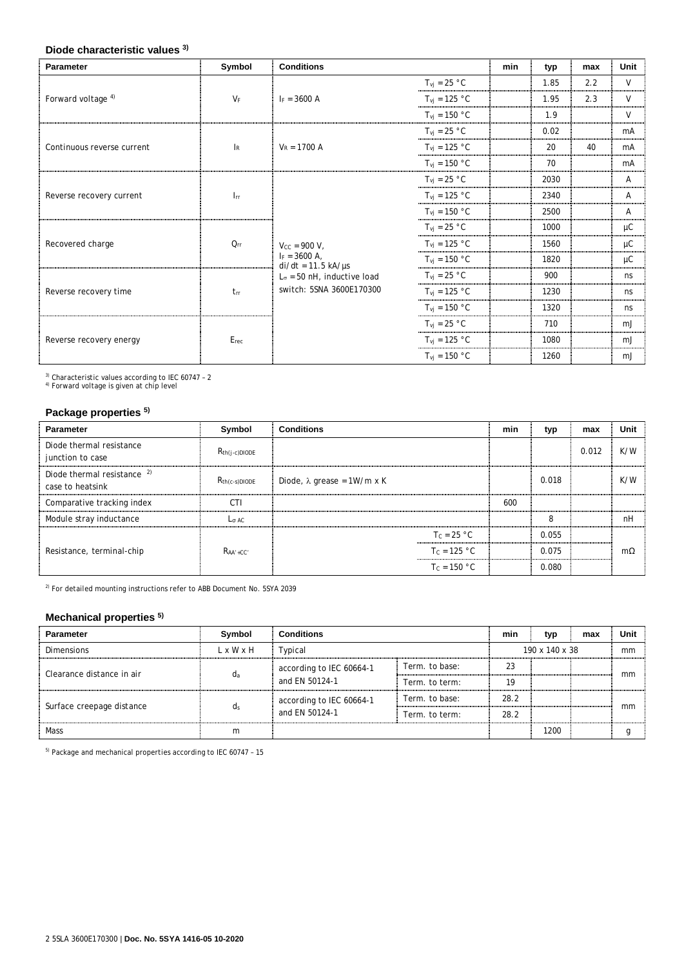### **Diode characteristic values 3)**

| <b>Parameter</b>              | Symbol                    | <b>Conditions</b>                        |                                  | min | typ  | max | Unit         |
|-------------------------------|---------------------------|------------------------------------------|----------------------------------|-----|------|-----|--------------|
| Forward voltage <sup>4)</sup> | $V_F$                     | $F = 3600 A$                             | $T_{vj} = 25 °C$                 |     | 1.85 | 2.2 | $\mathsf{V}$ |
|                               |                           |                                          | $T_{\text{vj}} = 125 \text{ °C}$ |     | 1.95 | 2.3 | V            |
|                               |                           |                                          | $T_{\text{vj}} = 150 \text{ °C}$ |     | 1.9  |     | V            |
|                               |                           |                                          | $T_{\text{vj}} = 25 \text{ °C}$  |     | 0.02 |     | mA           |
| Continuous reverse current    | $\mathsf{I}_{\mathsf{R}}$ | $V_R = 1700 A$                           | $T_{\text{vj}} = 125 \text{ °C}$ |     | 20   | 40  | mA           |
|                               |                           |                                          | $T_{\text{vj}} = 150 \text{ °C}$ |     | 70   |     | mA           |
|                               |                           |                                          | $T_{\text{vj}} = 25 \text{ °C}$  |     | 2030 |     | $\mathsf{A}$ |
| Reverse recovery current      | $\mathsf{l}_{\text{rr}}$  |                                          | $T_{\text{vi}} = 125 \text{ °C}$ |     | 2340 |     | A            |
|                               |                           |                                          | $T_{\text{vj}} = 150 \text{ °C}$ |     | 2500 |     | Α            |
|                               |                           |                                          | $T_{\text{vj}} = 25 \text{ °C}$  |     | 1000 |     | μC           |
| Recovered charge              | $Q_{rr}$                  | $V_{CC}$ = 900 V,                        | $T_{\text{vj}} = 125 \text{ °C}$ |     | 1560 |     | $\mu$ C      |
|                               |                           | $I_F = 3600 A$ ,<br>$di/dt = 11.5 kA/µs$ | $T_{\text{vj}} = 150 \text{ °C}$ |     | 1820 |     | μC           |
| Reverse recovery time         |                           | $L_{\sigma}$ = 50 nH, inductive load     | $T_{\text{vj}} = 25 \text{ °C}$  |     | 900  |     | ns           |
|                               | $t_{rr}$                  | switch: 5SNA 3600E170300                 | $T_{\text{vj}} = 125 \text{ °C}$ |     | 1230 |     | ns           |
|                               |                           |                                          | $T_{\text{vj}} = 150 \text{ °C}$ |     | 1320 |     | ns           |
| Reverse recovery energy       |                           |                                          | $T_{\text{vj}} = 25 \text{ °C}$  |     | 710  |     | mJ           |
|                               | Erec                      |                                          | $T_{\text{vj}} = 125 \text{ °C}$ |     | 1080 |     | mJ           |
|                               |                           |                                          | $T_{vi}$ = 150 °C                |     | 1260 |     | mJ           |

 $^{\rm 3)}$  Characteristic values according to IEC 60747 - 2<br><sup>4)</sup> Forward voltage is given at chip level

## **Package properties 5)**

| <b>Parameter</b>             | Symbol             | <b>Conditions</b>          | min | typ   | max   | Unit      |
|------------------------------|--------------------|----------------------------|-----|-------|-------|-----------|
| Diode thermal resistance     | $R_{th(i-c)DIODE}$ |                            |     |       | 0.012 | K/W       |
| junction to case             |                    |                            |     |       |       |           |
| Diode thermal resistance $2$ | $R_{th(c-s)DIODE}$ | Diode, λ grease = 1W/m x K |     | 0.018 |       | K/W       |
| case to heatsink             |                    |                            |     |       |       |           |
| Comparative tracking index   | CTI                |                            | 600 |       |       |           |
| Module stray inductance      | $L_{\sigma}$ AC    |                            |     | 8     |       | nH        |
| Resistance, terminal-chip    |                    | $T_c = 25 °C$              |     | 0.055 |       |           |
|                              | $RAA' + CC'$       | $T_c = 125 °C$             |     | 0.075 |       | $m\Omega$ |
|                              |                    | $T_c = 150 °C$             |     | 0.080 |       |           |

<sup>2)</sup> For detailed mounting instructions refer to ABB Document No. 5SYA 2039

# **Mechanical properties 5)**

| <b>Parameter</b>          | Symbol    | <b>Conditions</b>        |                | min  | typ            | max | Unit |
|---------------------------|-----------|--------------------------|----------------|------|----------------|-----|------|
| <b>Dimensions</b>         | L x W x H | Typical                  |                |      | 190 x 140 x 38 |     | mm   |
| Clearance distance in air |           | according to IEC 60664-1 | Term, to base: | 23   |                |     | mm   |
|                           | dа        | and EN 50124-1           | Term, to term: | 19   |                |     |      |
| Surface creepage distance |           | according to IEC 60664-1 | Term, to base: | 28.2 |                |     |      |
|                           | d٤        | and EN 50124-1           | Term. to term: | 28.2 |                |     | mm   |
| Mass                      | m         |                          |                |      | 1200           |     |      |

5) Package and mechanical properties according to IEC 60747 – 15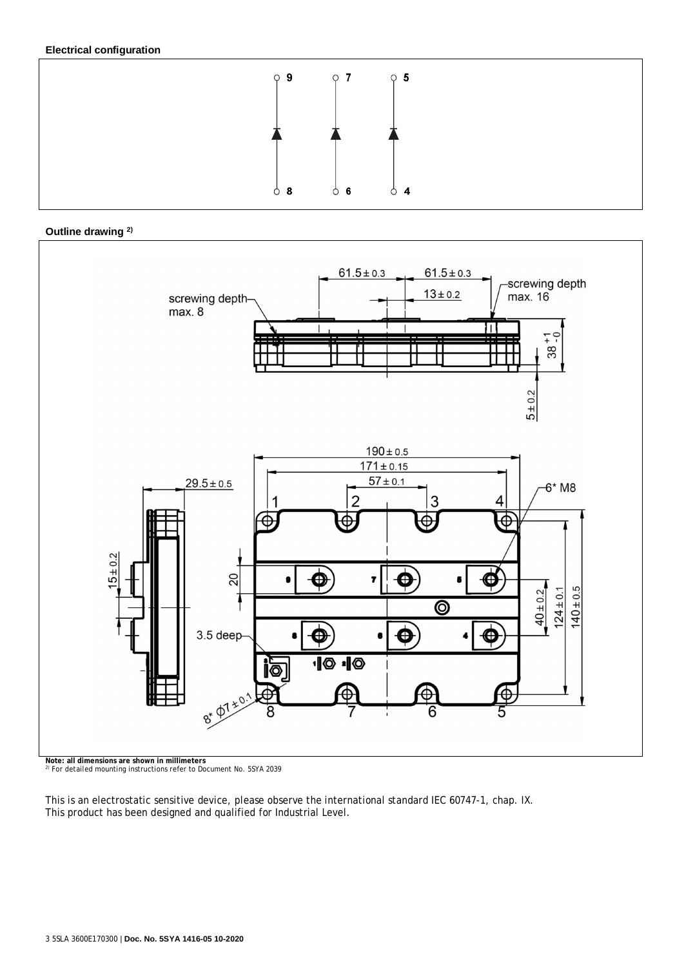## **Electrical configuration**







<sup>2)</sup> For detailed mounting instructions refer to Document No. 5SYA 2039

This is an electrostatic sensitive device, please observe the international standard IEC 60747-1, chap. IX. This product has been designed and qualified for Industrial Level.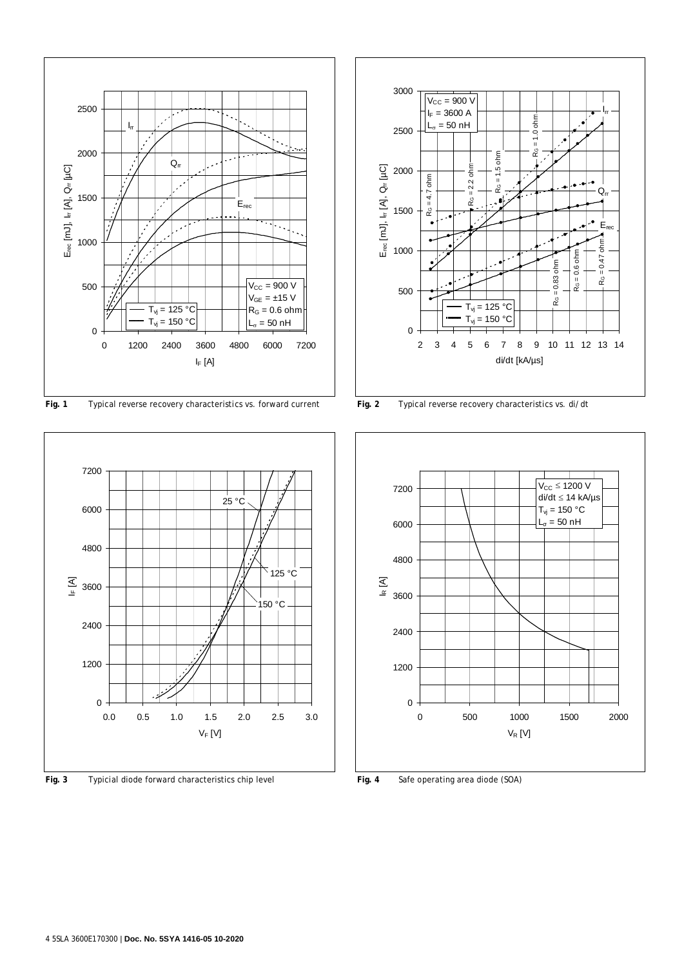

**Fig. 1** Typical reverse recovery characteristics vs. forward current **Fig. 2** Typical reverse recovery characteristics vs. di/dt



**Fig. 3** Typicial diode forward characteristics chip level **Fig. 4** Safe operating area diode (SOA)